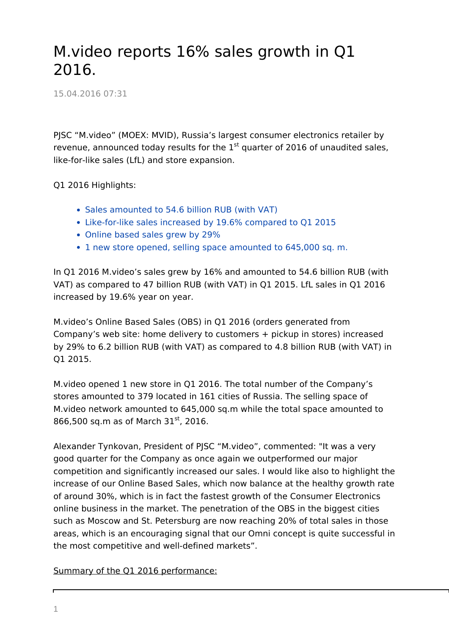## M.video reports 16% sales growth in Q1 2016.

15.04.2016 07:31

PJSC "M.video" (MOEX: MVID), Russia's largest consumer electronics retailer by revenue, announced today results for the  $1<sup>st</sup>$  quarter of 2016 of unaudited sales, like-for-like sales (LfL) and store expansion.

Q1 2016 Highlights:

- Sales amounted to 54.6 billion RUB (with VAT)
- Like-for-like sales increased by 19.6% compared to Q1 2015
- Online based sales grew by 29%
- 1 new store opened, selling space amounted to 645,000 sq. m.

In Q1 2016 M.video's sales grew by 16% and amounted to 54.6 billion RUB (with VAT) as compared to 47 billion RUB (with VAT) in Q1 2015. LfL sales in Q1 2016 increased by 19.6% year on year.

M.video's Online Based Sales (OBS) in Q1 2016 (orders generated from Company's web site: home delivery to customers + pickup in stores) increased by 29% to 6.2 billion RUB (with VAT) as compared to 4.8 billion RUB (with VAT) in Q1 2015.

M.video opened 1 new store in Q1 2016. The total number of the Company's stores amounted to 379 located in 161 cities of Russia. The selling space of M.video network amounted to 645,000 sq.m while the total space amounted to 866,500 sq.m as of March 31st, 2016.

Alexander Tynkovan, President of PJSC "M.video", commented: "It was a very good quarter for the Company as once again we outperformed our major competition and significantly increased our sales. I would like also to highlight the increase of our Online Based Sales, which now balance at the healthy growth rate of around 30%, which is in fact the fastest growth of the Consumer Electronics online business in the market. The penetration of the OBS in the biggest cities such as Moscow and St. Petersburg are now reaching 20% of total sales in those areas, which is an encouraging signal that our Omni concept is quite successful in the most competitive and well-defined markets".

## Summary of the Q1 2016 performance: